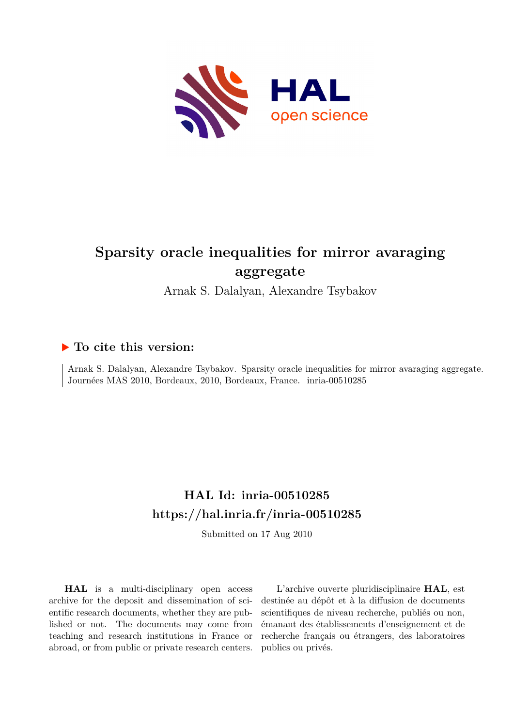

## **Sparsity oracle inequalities for mirror avaraging aggregate**

Arnak S. Dalalyan, Alexandre Tsybakov

## **To cite this version:**

Arnak S. Dalalyan, Alexandre Tsybakov. Sparsity oracle inequalities for mirror avaraging aggregate. Journées MAS 2010, Bordeaux, 2010, Bordeaux, France. inria-00510285

## **HAL Id: inria-00510285 <https://hal.inria.fr/inria-00510285>**

Submitted on 17 Aug 2010

**HAL** is a multi-disciplinary open access archive for the deposit and dissemination of scientific research documents, whether they are published or not. The documents may come from teaching and research institutions in France or abroad, or from public or private research centers.

L'archive ouverte pluridisciplinaire **HAL**, est destinée au dépôt et à la diffusion de documents scientifiques de niveau recherche, publiés ou non, émanant des établissements d'enseignement et de recherche français ou étrangers, des laboratoires publics ou privés.